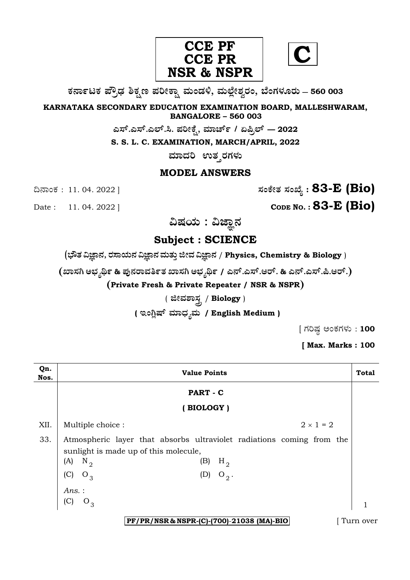

**C**

**O⁄´¤%lO⁄ ÆË√v⁄ ÃO⁄–y Æ⁄¬fiO¤– »⁄flMs⁄ÿ, »⁄fl≈Ê«fiÀ⁄ ¡⁄M, ∑ÊMV⁄◊⁄‡¡⁄fl — 560 003** 

**KARNATAKA SECONDARY EDUCATION EXAMINATION BOARD, MALLESHWARAM, BANGALORE – 560 003** 

**G—È.G—È.G≈È.". Æ⁄¬fiOÊ⁄–, »⁄·¤^È% / HØ√≈È — 2022**

**S. S. L. C. EXAMINATION, MARCH/APRIL, 2022** 

ಮಾದರಿ ಉತ**್ತರಗ**ಳು

### **MODEL ANSWERS**

¶´¤MO⁄ : 11. 04. 2022 ] **—⁄MOÊfi}⁄ —⁄MSÊ¿ : 83-E (Bio)**

Date : 11. 04. 2022 ] **CODE NO. : 83-E (Bio)** 

ವಿಷಯ : ವಿಜ್ಞಾನ

## **Subject : SCIENCE**

(**»èñÜ ËþÝ®Ü, ÃÜÓÝ¿á®Ü ËþÝ®Ü ÊÜáñÜᤠiàÊÜ ËþÝ®Ü** / **Physics, Chemistry & Biology** )

 $($ ಖಾಸಗಿ ಅಭ್ಯರ್ಥಿ & ಪುನರಾವರ್ತಿತ ಖಾಸಗಿ ಅಭ್ಯರ್ಥಿ / ಎನ್.ಎಸ್.ಆರ್. & ಎನ್.ಎಸ್.ಪಿ.ಆರ್.)

**(Private Fresh & Private Repeater / NSR & NSPR)**

( **ffi»⁄À¤—⁄°** / **Biology** )

( **ಇಂಗ್ಲಿಷ್ ಮಾಧ್ಯಮ** / English Medium )

 $[$  ಗರಿಷ್ಠ ಅಂಕಗಳು : 100

**[ Max. Marks : 100** 

| Qn.<br>Nos. | <b>Value Points</b>                                                                                                                                                                  |                |  |  |
|-------------|--------------------------------------------------------------------------------------------------------------------------------------------------------------------------------------|----------------|--|--|
|             | PART - C                                                                                                                                                                             |                |  |  |
|             | (BIOLOGY)                                                                                                                                                                            |                |  |  |
| XII.        | $2 \times 1 = 2$<br>Multiple choice :                                                                                                                                                |                |  |  |
| 33.         | Atmospheric layer that absorbs ultraviolet radiations coming from the<br>sunlight is made up of this molecule,<br>(A)<br>$H_{2}$<br>$N_{2}$<br>(B)<br>(C)<br>(D)<br>$O_3$<br>$O_2$ . |                |  |  |
|             | Ans. :<br>(C)<br>$O_3$<br>PF/PR/NSR & NSPR-(C)-(700)-21038 (MA)-BIO                                                                                                                  | 1<br>Turn over |  |  |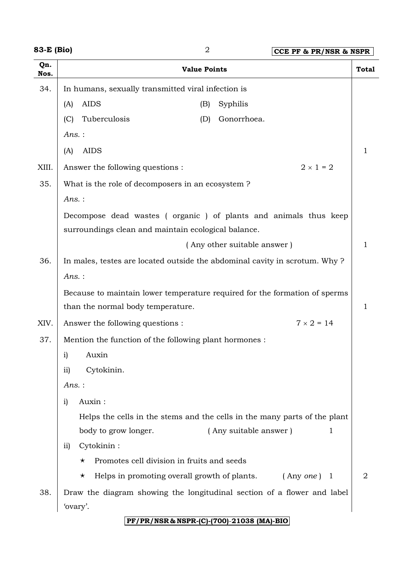**83-E (Bio)** 2 **CCE PF & PR/NSR & NSPR**

**Qn. Nos. Value Points Total** 34. In humans, sexually transmitted viral infection is (A) AIDS (B) Syphilis (C) Tuberculosis (D) Gonorrhoea. *Ans.* :  $(A)$  AIDS 1 XIII. Answer the following questions :  $2 \times 1 = 2$ 35. What is the role of decomposers in an ecosystem ? *Ans.* : Decompose dead wastes ( organic ) of plants and animals thus keep surroundings clean and maintain ecological balance. (Any other suitable answer) 1 36. In males, testes are located outside the abdominal cavity in scrotum. Why ? *Ans.* : Because to maintain lower temperature required for the formation of sperms than the normal body temperature.  $\begin{array}{|c|c|c|c|c|c|c|c|c|} \hline & 1 & 1 \ \hline \end{array}$ XIV. Answer the following questions :  $7 \times 2 = 14$ 37. Mention the function of the following plant hormones : i) Auxin ii) Cytokinin. *Ans.* : i) Auxin : Helps the cells in the stems and the cells in the many parts of the plant body to grow longer. (Any suitable answer) 1 ii) Cytokinin :  $\star$  Promotes cell division in fruits and seeds \* Helps in promoting overall growth of plants. (Any *one*) 1 | 2 38. Draw the diagram showing the longitudinal section of a flower and label 'ovary'.

#### **PF/PR/NSR & NSPR-(C)-(700)**-**21038 (MA)-BIO**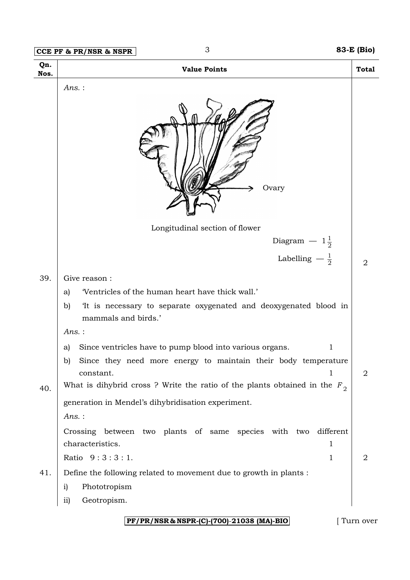# **CCE PF & PR/NSR & NSPR** 3 **83-E (Bio) PF/PR/NSR & NSPR-(C)-(700)**-**21038 (MA)-BIO** [ Turn over **Qn. Nos. Value Points Total** *Ans.* : Longitudinal section of flower  $\text{Diagram}$   $-1\frac{1}{2}$  $\text{Labelling} \ -\frac{1}{2}$  2 39. Give reason : a) 'Ventricles of the human heart have thick wall.' b) 'It is necessary to separate oxygenated and deoxygenated blood in mammals and birds.' *Ans.* : a) Since ventricles have to pump blood into various organs. b) Since they need more energy to maintain their body temperature  $\alpha$  constant.  $\alpha$  2  $_{40.}$   $\mid$  What is dihybrid cross ? Write the ratio of the plants obtained in the  $\emph{F}_{\,2}$ generation in Mendel's dihybridisation experiment. *Ans.* : Crossing between two plants of same species with two different characteristics. 1 Ratio  $9:3:3:1$ . 41. Define the following related to movement due to growth in plants : i) Phototropism ii) Geotropism. **Ovary**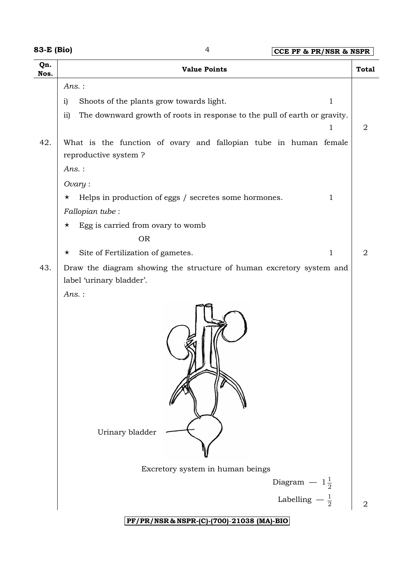| <b>83-E (Bio)</b> |  |
|-------------------|--|
|-------------------|--|

**83-E (Bio)** 4 **CCE PF & PR/NSR & NSPR**

| Qn.<br>Nos.<br>42. | <b>Value Points</b><br>$Ans.$ :<br>Shoots of the plants grow towards light.<br>$\mathbf 1$<br>$\mathbf{i}$<br>The downward growth of roots in response to the pull of earth or gravity.<br>ii)<br>1<br>What is the function of ovary and fallopian tube in human female<br>reproductive system?<br>$Ans.$ : | <b>Total</b><br>2 |
|--------------------|-------------------------------------------------------------------------------------------------------------------------------------------------------------------------------------------------------------------------------------------------------------------------------------------------------------|-------------------|
|                    |                                                                                                                                                                                                                                                                                                             |                   |
|                    |                                                                                                                                                                                                                                                                                                             |                   |
|                    |                                                                                                                                                                                                                                                                                                             |                   |
|                    | $Ovary$ :<br>Helps in production of eggs / secretes some hormones.<br>1<br>$\star$<br>Fallopian tube:                                                                                                                                                                                                       |                   |
|                    | Egg is carried from ovary to womb<br>$\star$<br><b>OR</b><br>Site of Fertilization of gametes.<br>$\mathbf 1$<br>$\star$                                                                                                                                                                                    | 2                 |
| 43.                | Draw the diagram showing the structure of human excretory system and<br>label 'urinary bladder'.                                                                                                                                                                                                            |                   |
|                    | $Ans.$ :<br>Urinary bladder                                                                                                                                                                                                                                                                                 |                   |
|                    | Excretory system in human beings                                                                                                                                                                                                                                                                            |                   |
|                    | Diagram $-1\frac{1}{2}$<br>Labelling $-\frac{1}{2}$                                                                                                                                                                                                                                                         | $\overline{2}$    |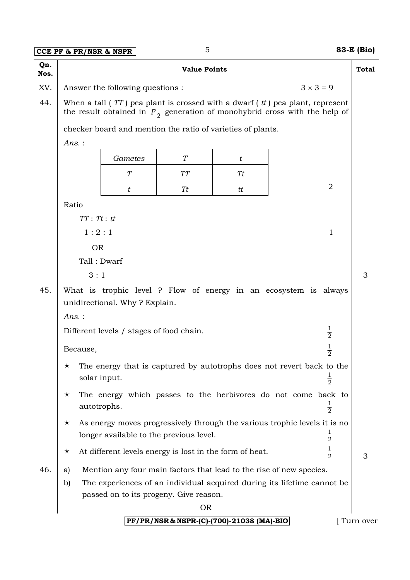### **CCE PF & PR/NSR & NSPR** 5 **83-E (Bio)**

| v<br>٠ |
|--------|
| ×<br>I |

| Qn.<br>Nos. | <b>Value Points</b>                                                                                                                                             |                                                         |           | <b>Total</b>                                                            |               |   |
|-------------|-----------------------------------------------------------------------------------------------------------------------------------------------------------------|---------------------------------------------------------|-----------|-------------------------------------------------------------------------|---------------|---|
| XV.         | $3 \times 3 = 9$<br>Answer the following questions :                                                                                                            |                                                         |           |                                                                         |               |   |
| 44.         | When a tall $(TT)$ pea plant is crossed with a dwarf $(t)$ pea plant, represent<br>the result obtained in $F_2$ generation of monohybrid cross with the help of |                                                         |           |                                                                         |               |   |
|             |                                                                                                                                                                 |                                                         |           | checker board and mention the ratio of varieties of plants.             |               |   |
|             | $Ans.$ :                                                                                                                                                        |                                                         |           |                                                                         |               |   |
|             |                                                                                                                                                                 | Gametes                                                 | T         | t                                                                       |               |   |
|             |                                                                                                                                                                 | T                                                       | <b>TT</b> | Tt                                                                      |               |   |
|             |                                                                                                                                                                 | t                                                       | Tt        | tt                                                                      | 2             |   |
|             | Ratio                                                                                                                                                           |                                                         |           |                                                                         |               |   |
|             | $TT:$ $Tt:$ $tt$                                                                                                                                                |                                                         |           |                                                                         |               |   |
|             | 1:2:1<br>1                                                                                                                                                      |                                                         |           |                                                                         |               |   |
|             | <b>OR</b>                                                                                                                                                       |                                                         |           |                                                                         |               |   |
|             | Tall: Dwarf                                                                                                                                                     |                                                         |           |                                                                         |               |   |
|             | 3:1                                                                                                                                                             |                                                         |           |                                                                         | 3             |   |
| 45.         | What is trophic level ? Flow of energy in an ecosystem is always<br>unidirectional. Why? Explain.                                                               |                                                         |           |                                                                         |               |   |
|             | $Ans.$ :                                                                                                                                                        |                                                         |           |                                                                         |               |   |
|             | $\frac{1}{2}$<br>Different levels / stages of food chain.                                                                                                       |                                                         |           |                                                                         |               |   |
|             | $\frac{1}{2}$<br>Because,                                                                                                                                       |                                                         |           |                                                                         |               |   |
|             | The energy that is captured by autotrophs does not revert back to the<br>solar input.<br>$\overline{2}$                                                         |                                                         |           |                                                                         |               |   |
|             | The energy which passes to the herbivores do not come back to<br>$\star$<br>$\frac{1}{2}$<br>autotrophs.                                                        |                                                         |           |                                                                         |               |   |
|             | As energy moves progressively through the various trophic levels it is no<br>$\star$<br>$\frac{1}{2}$<br>longer available to the previous level.                |                                                         |           |                                                                         |               |   |
|             | $\star$                                                                                                                                                         | At different levels energy is lost in the form of heat. |           |                                                                         | $\frac{1}{2}$ | 3 |
| 46.         | a)                                                                                                                                                              |                                                         |           | Mention any four main factors that lead to the rise of new species.     |               |   |
|             | b)                                                                                                                                                              |                                                         |           | The experiences of an individual acquired during its lifetime cannot be |               |   |
|             |                                                                                                                                                                 | passed on to its progeny. Give reason.                  |           |                                                                         |               |   |
|             |                                                                                                                                                                 |                                                         | <b>OR</b> |                                                                         |               |   |

### **PF/PR/NSR & NSPR-(C)-(700)**-**21038 (MA)-BIO** [ Turn over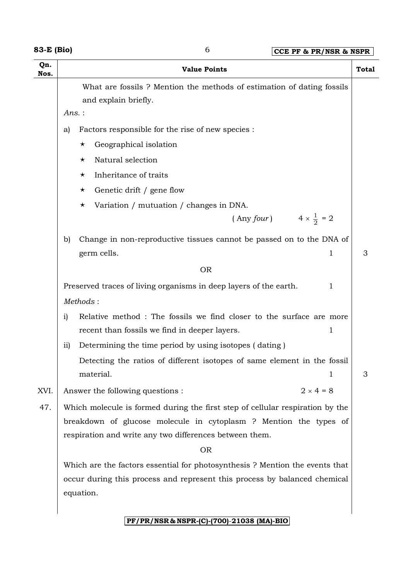| 83-E (Bio) |  |
|------------|--|
|------------|--|

| 3-E (Bio)   |               | 6                                                                                                                                                                                                                                                                     | CCE PF & PR/NSR & NSPR |              |
|-------------|---------------|-----------------------------------------------------------------------------------------------------------------------------------------------------------------------------------------------------------------------------------------------------------------------|------------------------|--------------|
| Qn.<br>Nos. |               | <b>Value Points</b>                                                                                                                                                                                                                                                   |                        | <b>Total</b> |
|             | a)            | What are fossils ? Mention the methods of estimation of dating fossils<br>and explain briefly.<br>Ans.:<br>Factors responsible for the rise of new species :<br>Geographical isolation<br>$\star$<br>Natural selection<br>$\star$<br>Inheritance of traits<br>$\star$ |                        |              |
|             |               | Genetic drift / gene flow<br>$\star$                                                                                                                                                                                                                                  |                        |              |
|             |               | Variation / mutuation / changes in DNA.<br>$\star$                                                                                                                                                                                                                    |                        |              |
|             |               | (Any four) $4 \times \frac{1}{2} = 2$                                                                                                                                                                                                                                 |                        |              |
|             | b)            | Change in non-reproductive tissues cannot be passed on to the DNA of<br>germ cells.<br><b>OR</b>                                                                                                                                                                      | 1                      | 3            |
|             |               | Preserved traces of living organisms in deep layers of the earth.                                                                                                                                                                                                     | 1                      |              |
|             |               | Methods:                                                                                                                                                                                                                                                              |                        |              |
|             | $\mathbf{i}$  | Relative method : The fossils we find closer to the surface are more<br>recent than fossils we find in deeper layers.                                                                                                                                                 | 1                      |              |
|             | $\mathbf{ii}$ | Determining the time period by using isotopes (dating)                                                                                                                                                                                                                |                        |              |
|             |               | Detecting the ratios of different isotopes of same element in the fossil<br>material.                                                                                                                                                                                 | 1                      | 3            |
| XVI.        |               | Answer the following questions :                                                                                                                                                                                                                                      | $2 \times 4 = 8$       |              |
| 47.         |               | Which molecule is formed during the first step of cellular respiration by the<br>breakdown of glucose molecule in cytoplasm ? Mention the types of<br>respiration and write any two differences between them.                                                         |                        |              |
|             |               | <b>OR</b>                                                                                                                                                                                                                                                             |                        |              |
|             |               | Which are the factors essential for photosynthesis? Mention the events that<br>occur during this process and represent this process by balanced chemical<br>equation.                                                                                                 |                        |              |
|             |               | PF/PR/NSR & NSPR-(C)-(700)-21038 (MA)-BIO                                                                                                                                                                                                                             |                        |              |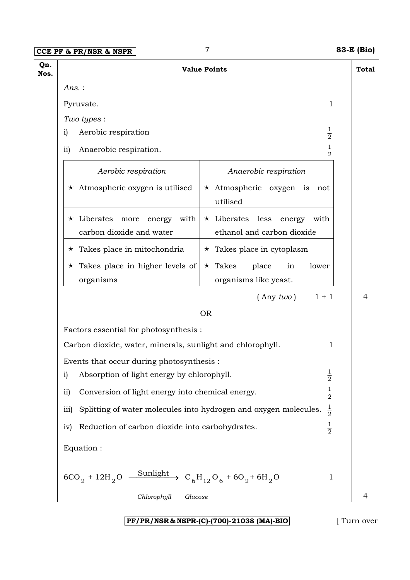**CCE PF & PR/NSR & NSPR** 7 **83-E (Bio)**

|                                                                                                                                                                      | <b>Value Points</b>                                                       | <b>Total</b> |                                                        |                                                                                                        |  |
|----------------------------------------------------------------------------------------------------------------------------------------------------------------------|---------------------------------------------------------------------------|--------------|--------------------------------------------------------|--------------------------------------------------------------------------------------------------------|--|
| Ans.:                                                                                                                                                                |                                                                           |              |                                                        |                                                                                                        |  |
| Pyruvate.                                                                                                                                                            | 1                                                                         |              |                                                        |                                                                                                        |  |
| Two types :                                                                                                                                                          |                                                                           |              |                                                        |                                                                                                        |  |
| Aerobic respiration<br>i)                                                                                                                                            | $\frac{1}{2}$                                                             |              |                                                        |                                                                                                        |  |
| Anaerobic respiration.<br>$\overline{ii}$                                                                                                                            | $\frac{1}{2}$                                                             |              |                                                        |                                                                                                        |  |
| Aerobic respiration                                                                                                                                                  | Anaerobic respiration                                                     |              |                                                        |                                                                                                        |  |
| $\star$ Atmospheric oxygen is utilised                                                                                                                               | $\star$ Atmospheric oxygen is<br>not<br>utilised                          |              |                                                        |                                                                                                        |  |
| $\star$ Liberates<br>with<br>more<br>energy<br>carbon dioxide and water                                                                                              | $\star$ Liberates<br>less<br>energy<br>with<br>ethanol and carbon dioxide |              |                                                        |                                                                                                        |  |
| Takes place in mitochondria<br>$\star$                                                                                                                               | $\star$ Takes place in cytoplasm                                          |              |                                                        |                                                                                                        |  |
| Takes place in higher levels of<br>$\star$<br>organisms                                                                                                              | place<br>$\star$ Takes<br>in<br>lower<br>organisms like yeast.            |              |                                                        |                                                                                                        |  |
|                                                                                                                                                                      | $1 + 1$<br>$($ Any two)                                                   | 4            |                                                        |                                                                                                        |  |
|                                                                                                                                                                      | <b>OR</b>                                                                 |              |                                                        |                                                                                                        |  |
| Factors essential for photosynthesis :                                                                                                                               |                                                                           |              |                                                        |                                                                                                        |  |
| Carbon dioxide, water, minerals, sunlight and chlorophyll.                                                                                                           | 1                                                                         |              |                                                        |                                                                                                        |  |
| Events that occur during photosynthesis :                                                                                                                            |                                                                           |              |                                                        |                                                                                                        |  |
| Absorption of light energy by chlorophyll.<br>$\mathbf{i}$                                                                                                           | $\frac{1}{2}$                                                             |              |                                                        |                                                                                                        |  |
| Conversion of light energy into chemical energy.<br>$\overline{11}$                                                                                                  | $\frac{1}{2}$                                                             |              |                                                        |                                                                                                        |  |
| $\frac{1}{2}$<br>Splitting of water molecules into hydrogen and oxygen molecules.<br>iii)<br>$\frac{1}{2}$<br>Reduction of carbon dioxide into carbohydrates.<br>iv) |                                                                           |              |                                                        |                                                                                                        |  |
|                                                                                                                                                                      |                                                                           |              | Equation :                                             |                                                                                                        |  |
|                                                                                                                                                                      |                                                                           |              | $6CO_2 + 12H_2O$ $\frac{\text{Sunlight}}{\text{unit}}$ | $\rightarrow$ C <sub>6</sub> H <sub>12</sub> O <sub>6</sub> + 6O <sub>2</sub> + 6H <sub>2</sub> O<br>1 |  |
| Chlorophyll                                                                                                                                                          | Glucose                                                                   | 4            |                                                        |                                                                                                        |  |
|                                                                                                                                                                      |                                                                           |              |                                                        |                                                                                                        |  |